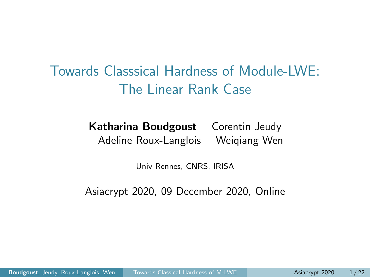<span id="page-0-0"></span>Towards Classsical Hardness of Module-LWE: The Linear Rank Case

> Katharina Boudgoust Corentin Jeudy Adeline Roux-Langlois Weiqiang Wen

> > Univ Rennes, CNRS, IRISA

Asiacrypt 2020, 09 December 2020, Online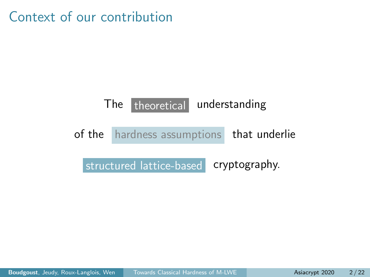Context of our contribution

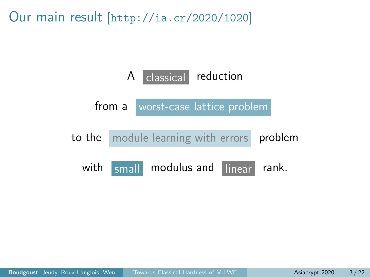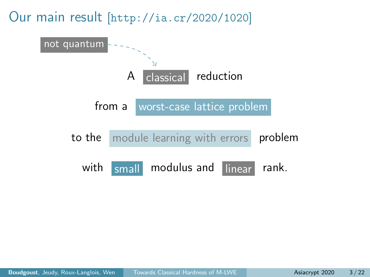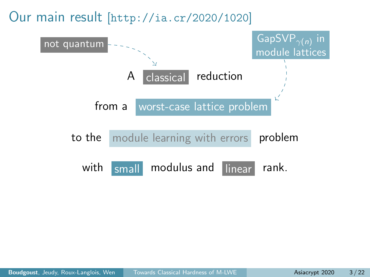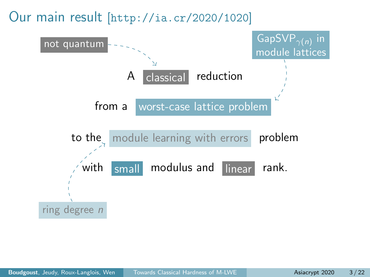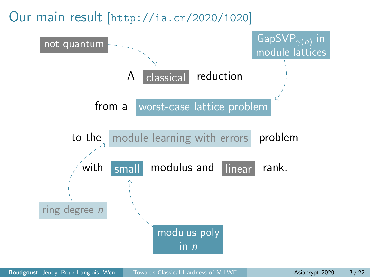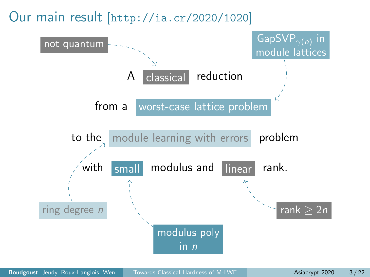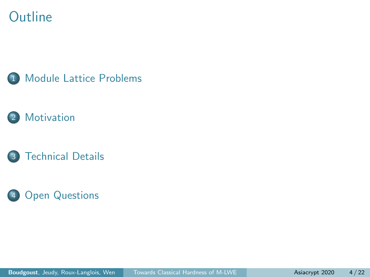### **Outline**







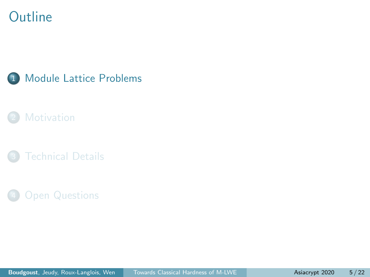### <span id="page-9-0"></span>**Outline**



### **[Motivation](#page-23-0)**

**[Technical Details](#page-31-0)** 

#### **[Open Questions](#page-48-0)**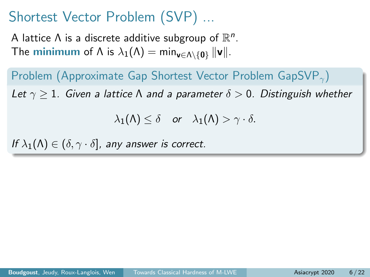A lattice  $\Lambda$  is a discrete additive subgroup of  $\mathbb{R}^n$ . The **minimum** of  $\Lambda$  is  $\lambda_1(\Lambda) = \min_{\mathbf{v} \in \Lambda \setminus \{0\}} ||\mathbf{v}||$ .

Problem (Approximate Gap Shortest Vector Problem GapSVP<sub> $\gamma$ </sub>) Let  $\gamma > 1$ . Given a lattice  $\Lambda$  and a parameter  $\delta > 0$ . Distinguish whether

 $\lambda_1(\Lambda) \leq \delta$  or  $\lambda_1(\Lambda) > \gamma \cdot \delta$ .

If  $\lambda_1(\Lambda) \in (\delta, \gamma \cdot \delta]$ , any answer is correct.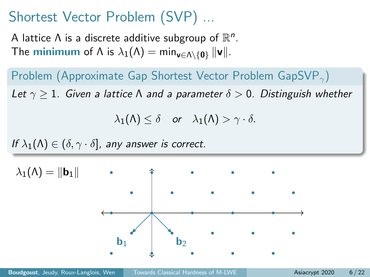A lattice  $\Lambda$  is a discrete additive subgroup of  $\mathbb{R}^n$ . The **minimum** of  $\Lambda$  is  $\lambda_1(\Lambda) = \min_{\mathbf{v} \in \Lambda \setminus \{0\}} ||\mathbf{v}||$ .

Problem (Approximate Gap Shortest Vector Problem GapSVP $_{\gamma}$ ) Let  $\gamma > 1$ . Given a lattice  $\Lambda$  and a parameter  $\delta > 0$ . Distinguish whether

 $\lambda_1(\Lambda) \leq \delta$  or  $\lambda_1(\Lambda) > \gamma \cdot \delta$ .

If  $\lambda_1(\Lambda) \in (\delta, \gamma \cdot \delta]$ , any answer is correct.

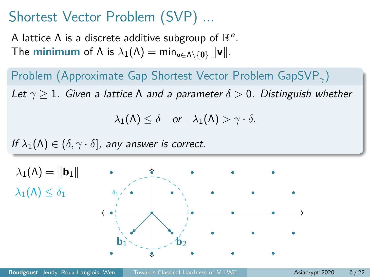A lattice  $\Lambda$  is a discrete additive subgroup of  $\mathbb{R}^n$ . The **minimum** of  $\Lambda$  is  $\lambda_1(\Lambda) = \min_{\mathbf{v} \in \Lambda \setminus \{0\}} ||\mathbf{v}||$ .

Problem (Approximate Gap Shortest Vector Problem GapSVP $_{\gamma}$ ) Let  $\gamma > 1$ . Given a lattice  $\Lambda$  and a parameter  $\delta > 0$ . Distinguish whether

 $\lambda_1(\Lambda) \leq \delta$  or  $\lambda_1(\Lambda) > \gamma \cdot \delta$ .

If  $\lambda_1(\Lambda) \in (\delta, \gamma \cdot \delta]$ , any answer is correct.

 $\mathbf{b}_1$   $\mathbf{b}_2$   $\mathbf{b}_3$  $\lambda_1(\Lambda) = ||\mathbf{b}_1||$  $\lambda_1(\Lambda) < \delta_1$  $\delta_1$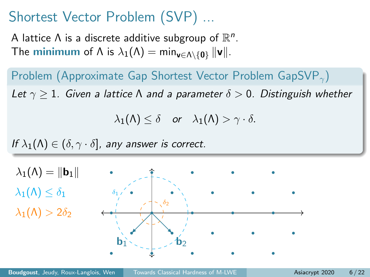A lattice  $\Lambda$  is a discrete additive subgroup of  $\mathbb{R}^n$ . The **minimum** of  $\Lambda$  is  $\lambda_1(\Lambda) = \min_{\mathbf{v} \in \Lambda \setminus \{0\}} ||\mathbf{v}||$ .

Problem (Approximate Gap Shortest Vector Problem GapSVP $_{\gamma}$ ) Let  $\gamma > 1$ . Given a lattice  $\Lambda$  and a parameter  $\delta > 0$ . Distinguish whether

 $\lambda_1(\Lambda) \leq \delta$  or  $\lambda_1(\Lambda) > \gamma \cdot \delta$ .

If  $\lambda_1(\Lambda) \in (\delta, \gamma \cdot \delta]$ , any answer is correct.

 $\mathbf{b}_1$   $\mathbf{b}_2$   $\mathbf{b}_3$  $\lambda_1(\Lambda) = ||\mathbf{b}_1||$  $\lambda_1(\Lambda) \leq \delta_1$  $\delta_1$  $\delta_2$  $\lambda_1(\Lambda) > 2\delta_2$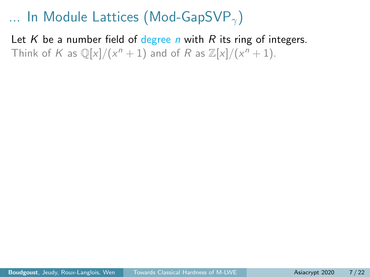Let K be a number field of degree n with R its ring of integers. Think of K as  $\mathbb{Q}[x]/(x^n + 1)$  and of R as  $\mathbb{Z}[x]/(x^n + 1)$ .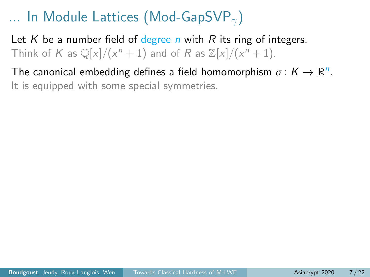Let K be a number field of degree n with R its ring of integers. Think of K as  $\mathbb{Q}[x]/(x^n + 1)$  and of R as  $\mathbb{Z}[x]/(x^n + 1)$ .

The canonical embedding defines a field homomorphism  $\sigma \colon K \to \mathbb{R}^n$ . It is equipped with some special symmetries.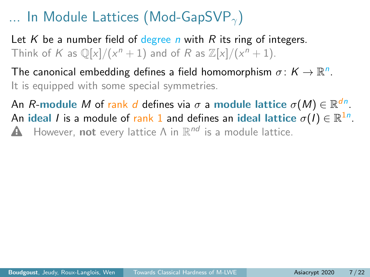Let K be a number field of degree n with R its ring of integers. Think of K as  $\mathbb{Q}[x]/(x^n + 1)$  and of R as  $\mathbb{Z}[x]/(x^n + 1)$ .

The canonical embedding defines a field homomorphism  $\sigma \colon K \to \mathbb{R}^n$ . It is equipped with some special symmetries.

An  $R\textrm{-module }M$  of  $\textrm{rank }d$  defines via  $\sigma$  a module lattice  $\sigma(M)\in \mathbb{R}^{dn}.$ An ideal  $I$  is a module of  $\mathsf{rank}\,1$  and defines an ideal lattice  $\sigma(I)\in\mathbb{R}^{1n}$ . **A** However, not every lattice  $\Lambda$  in  $\mathbb{R}^{nd}$  is a module lattice.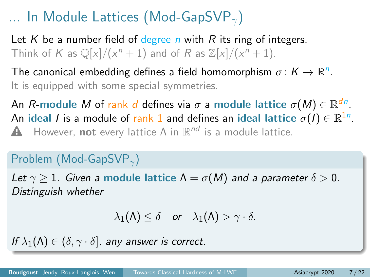Let K be a number field of degree n with R its ring of integers. Think of K as  $\mathbb{Q}[x]/(x^n + 1)$  and of R as  $\mathbb{Z}[x]/(x^n + 1)$ .

The canonical embedding defines a field homomorphism  $\sigma \colon K \to \mathbb{R}^n$ . It is equipped with some special symmetries.

An  $R\textrm{-module }M$  of  $\textrm{rank }d$  defines via  $\sigma$  a module lattice  $\sigma(M)\in \mathbb{R}^{dn}.$ An ideal  $I$  is a module of  $\mathsf{rank}\,1$  and defines an ideal lattice  $\sigma(I)\in\mathbb{R}^{1n}$ . **A** However, not every lattice  $\Lambda$  in  $\mathbb{R}^{nd}$  is a module lattice.

#### Problem (Mod-GapSVP<sub> $\gamma$ </sub>)

Let  $\gamma > 1$ . Given a module lattice  $\Lambda = \sigma(M)$  and a parameter  $\delta > 0$ . Distinguish whether

$$
\lambda_1(\Lambda) \leq \delta \quad \text{or} \quad \lambda_1(\Lambda) > \gamma \cdot \delta.
$$

If  $\lambda_1(\Lambda) \in (\delta, \gamma \cdot \delta]$ , any answer is correct.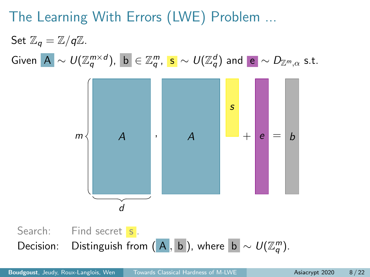# The Learning With Errors (LWE) Problem ...

Set  $\mathbb{Z}_q = \mathbb{Z}/q\mathbb{Z}$ .  $\mathsf{Given}\,\,\big|\mathsf{A}\big|\sim \mathsf{U}(\mathbb{Z}_q^{m\times d}),\,\,\big|\mathsf{b}\big|\in\mathbb{Z}_q^m,\,\,\mathsf{s}\,\sim \mathsf{U}(\mathbb{Z}_q^d)\,\,\mathsf{and}\,\,\big|\mathsf{e}\big|\sim \mathsf{D}_{\mathbb{Z}^m,\alpha}\,\,\mathsf{s.t.}$ 

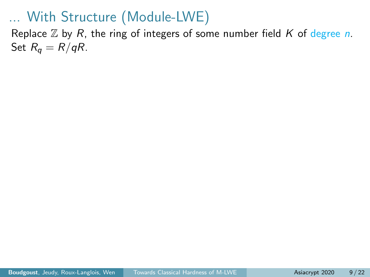Replace  $\mathbb Z$  by R, the ring of integers of some number field K of degree n. Set  $R_q = R/qR$ .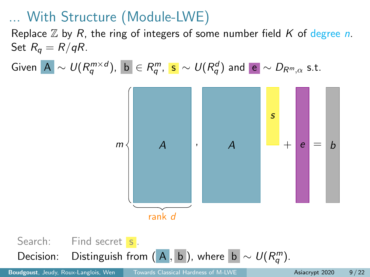Replace  $\mathbb Z$  by R, the ring of integers of some number field K of degree n. Set  $R_q = R/qR$ .

 $\mathsf{Given}\,\,\big|\mathsf{A}\big|\sim \mathsf{U}(\mathsf{R}_q^{m\times d}),\,\,\big|\mathsf{b}\big|\in\mathsf{R}_q^m,\,\,\mathsf{s}\,\sim \mathsf{U}(\mathsf{R}_q^d)\,\,\mathsf{and}\,\,\big|\mathsf{e}\big|\sim \mathsf{D}_{\mathsf{R}^m,\alpha}\,\,\mathsf{s.t.}$ 



Search: Find secret s. Decision: Distinguish from  $(A, b)$ , where  $|b| \sim U(R_q^m)$ .

**Boudgoust**, Jeudy, Roux-Langlois, Wen [Towards Classical Hardness of M-LWE](#page-0-0) **Asiacrypt 2020** 9/22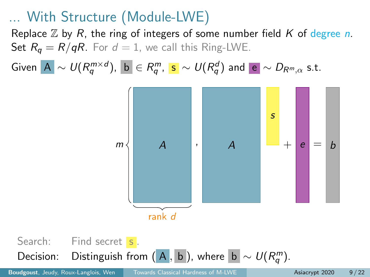Replace  $\mathbb Z$  by R, the ring of integers of some number field K of degree n. Set  $R_q = R/qR$ . For  $d = 1$ , we call this Ring-LWE.

 $\mathsf{Given}\,\,\big|\mathsf{A}\big|\sim \mathsf{U}(\mathsf{R}_q^{m\times d}),\,\,\big|\mathsf{b}\big|\in\mathsf{R}_q^m,\,\,\mathsf{s}\,\sim \mathsf{U}(\mathsf{R}_q^d)\,\,\mathsf{and}\,\,\big|\mathsf{e}\big|\sim \mathsf{D}_{\mathsf{R}^m,\alpha}\,\,\mathsf{s.t.}$ 



Search: Find secret s. Decision: Distinguish from  $(\overline{A}, \overline{b})$ , where  $|\overline{b}| \sim U(R_q^m)$ .

**Boudgoust**, Jeudy, Roux-Langlois, Wen [Towards Classical Hardness of M-LWE](#page-0-0) **Asiacrypt 2020** 9/22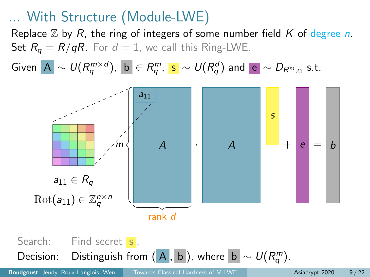Replace  $\mathbb Z$  by R, the ring of integers of some number field K of degree n. Set  $R_q = R/qR$ . For  $d = 1$ , we call this Ring-LWE.

 $\mathsf{Given}\,\,\big|\mathsf{A}\big|\sim \mathsf{U}(\mathsf{R}_q^{m\times d}),\,\,\big|\mathsf{b}\big|\in\mathsf{R}_q^m,\,\,\mathsf{s}\,\sim \mathsf{U}(\mathsf{R}_q^d)\,\,\mathsf{and}\,\,\big|\mathsf{e}\big|\sim \mathsf{D}_{\mathsf{R}^m,\alpha}\,\,\mathsf{s.t.}$ 



Search: Find secret s. Decision: Distinguish from  $(\overline{A}, \overline{b})$ , where  $|\overline{b}| \sim U(R_q^m)$ .

**Boudgoust**, Jeudy, Roux-Langlois, Wen [Towards Classical Hardness of M-LWE](#page-0-0) **Asiacrypt 2020** 9/22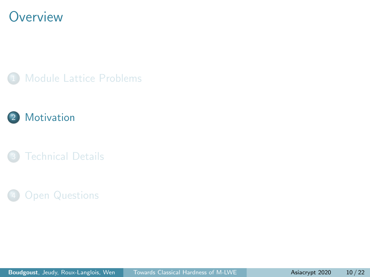### <span id="page-23-0"></span>**Overview**







#### **[Open Questions](#page-48-0)**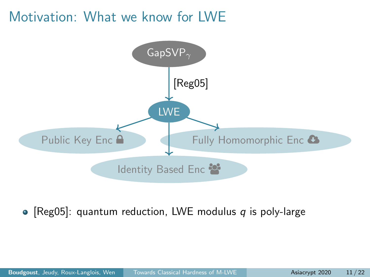# Motivation: What we know for LWE



• [\[Reg05\]](#page-52-1): quantum reduction, LWE modulus  $q$  is poly-large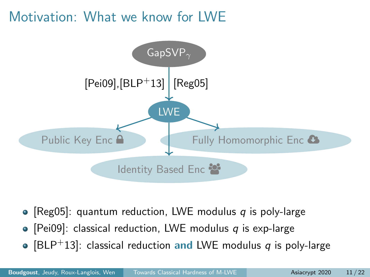# Motivation: What we know for LWE



- [\[Reg05\]](#page-52-1): quantum reduction, LWE modulus q is poly-large
- [\[Pei09\]](#page-52-2): classical reduction, LWE modulus q is exp-large
- [\[BLP](#page-51-0)<sup>+</sup>13]: classical reduction and LWE modulus q is poly-large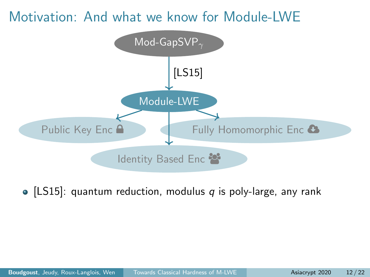

• [\[LS15\]](#page-52-3): quantum reduction, modulus  $q$  is poly-large, any rank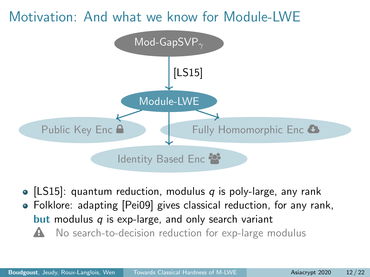

• [\[LS15\]](#page-52-3): quantum reduction, modulus  $q$  is poly-large, any rank Folklore: adapting [\[Pei09\]](#page-52-2) gives classical reduction, for any rank, **but** modulus  $q$  is exp-large, and only search variant  $\triangle$  No search-to-decision reduction for exp-large modulus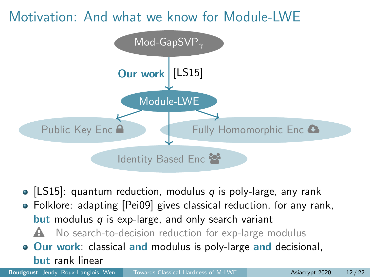

- [\[LS15\]](#page-52-3): quantum reduction, modulus  $q$  is poly-large, any rank
- Folklore: adapting [\[Pei09\]](#page-52-2) gives classical reduction, for any rank, **but** modulus  $q$  is exp-large, and only search variant
	- $\triangle$  No search-to-decision reduction for exp-large modulus
- **Our work:** classical and modulus is poly-large and decisional, but rank linear

**Boudgoust**, Jeudy, Roux-Langlois, Wen [Towards Classical Hardness of M-LWE](#page-0-0) **Asiacrypt 2020** 12/22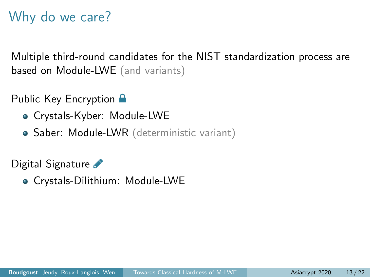# Why do we care?

Multiple third-round candidates for the NIST standardization process are based on Module-LWE (and variants)

Public Key Encryption **A** 

- Crystals-Kyber: Module-LWE
- Saber: Module-LWR (deterministic variant)

Digital Signature

Crystals-Dilithium: Module-LWE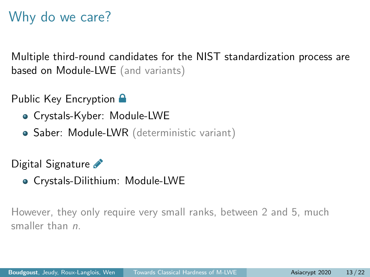# Why do we care?

Multiple third-round candidates for the NIST standardization process are based on Module-LWE (and variants)

Public Key Encryption **A** 

- Crystals-Kyber: Module-LWE
- Saber: Module-LWR (deterministic variant)

Digital Signature

Crystals-Dilithium: Module-LWE

However, they only require very small ranks, between 2 and 5, much smaller than *n*.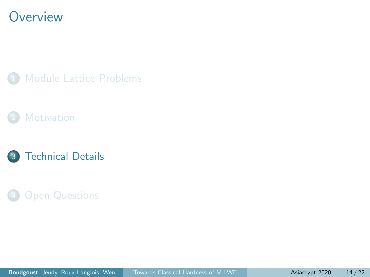### <span id="page-31-0"></span>**Overview**







#### **[Open Questions](#page-48-0)**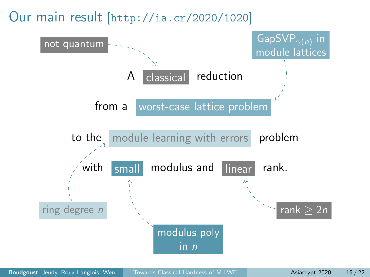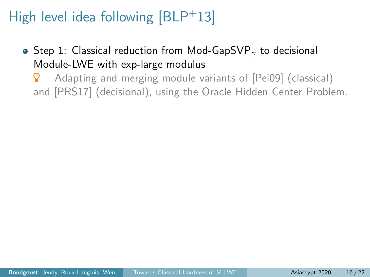- Step 1: Classical reduction from Mod-GapSVP<sub> $\gamma$ </sub> to decisional Module-LWE with exp-large modulus
	- **8** Adapting and merging module variants of [\[Pei09\]](#page-52-2) (classical) and [\[PRS17\]](#page-52-4) (decisional), using the Oracle Hidden Center Problem.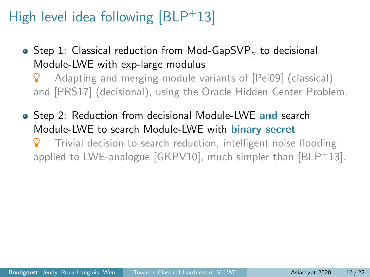• Step 1: Classical reduction from Mod-GapSVP<sub> $\gamma$ </sub> to decisional Module-LWE with exp-large modulus

**8** Adapting and merging module variants of [\[Pei09\]](#page-52-2) (classical) and [\[PRS17\]](#page-52-4) (decisional), using the Oracle Hidden Center Problem.

• Step 2: Reduction from decisional Module-LWE and search Module-LWE to search Module-LWE with binary secret

 Trivial decision-to-search reduction, intelligent noise flooding applied to LWE-analogue  $GKPV10$ , much simpler than  $BLP<sup>+</sup>13$ .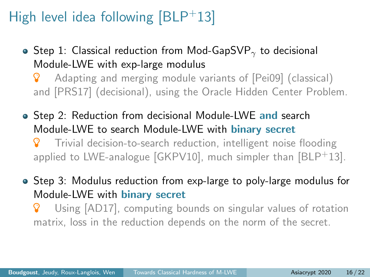- Step 1: Classical reduction from Mod-GapSVP<sub> $\gamma$ </sub> to decisional Module-LWE with exp-large modulus
	- **8** Adapting and merging module variants of [\[Pei09\]](#page-52-2) (classical) and [\[PRS17\]](#page-52-4) (decisional), using the Oracle Hidden Center Problem.
- Step 2: Reduction from decisional Module-LWE and search Module-LWE to search Module-LWE with binary secret Trivial decision-to-search reduction, intelligent noise flooding applied to LWE-analogue  $[GKPV10]$ , much simpler than  $[BLP<sup>+</sup>13]$  $[BLP<sup>+</sup>13]$ .
- Step 3: Modulus reduction from exp-large to poly-large modulus for Module-LWE with binary secret
	- Using [\[AD17\]](#page-51-2), computing bounds on singular values of rotation matrix, loss in the reduction depends on the norm of the secret.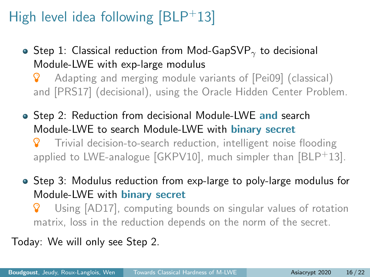- Step 1: Classical reduction from Mod-GapSVP<sub> $\gamma$ </sub> to decisional Module-LWE with exp-large modulus
	- **8** Adapting and merging module variants of [\[Pei09\]](#page-52-2) (classical) and [\[PRS17\]](#page-52-4) (decisional), using the Oracle Hidden Center Problem.
- Step 2: Reduction from decisional Module-LWE and search Module-LWE to search Module-LWE with binary secret Trivial decision-to-search reduction, intelligent noise flooding applied to LWE-analogue  $[GKPV10]$ , much simpler than  $[BLP<sup>+</sup>13]$  $[BLP<sup>+</sup>13]$ .
- Step 3: Modulus reduction from exp-large to poly-large modulus for Module-LWE with binary secret
	- Using [\[AD17\]](#page-51-2), computing bounds on singular values of rotation matrix, loss in the reduction depends on the norm of the secret.

Today: We will only see Step 2.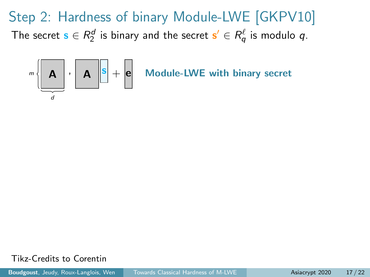

Tikz-Credits to Corentin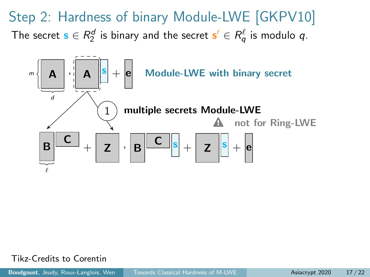

Tikz-Credits to Corentin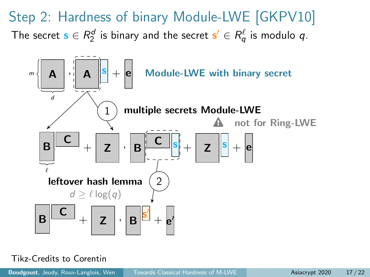

#### Tikz-Credits to Corentin

**Boudgoust**, Jeudy, Roux-Langlois, Wen [Towards Classical Hardness of M-LWE](#page-0-0) **Asiacrypt 2020** 17/22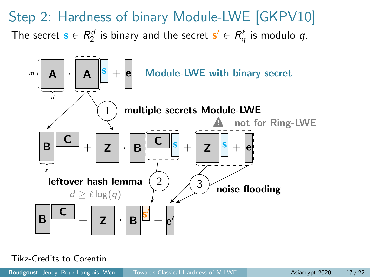

#### Tikz-Credits to Corentin

**Boudgoust**, Jeudy, Roux-Langlois, Wen [Towards Classical Hardness of M-LWE](#page-0-0) **Asiacrypt 2020** 17/22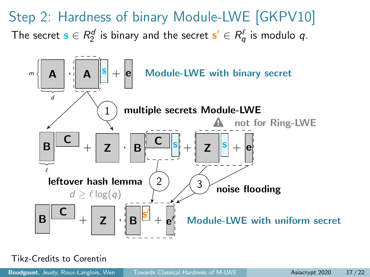

Tikz-Credits to Corentin

**Boudgoust**, Jeudy, Roux-Langlois, Wen [Towards Classical Hardness of M-LWE](#page-0-0) **Asiacrypt 2020** 17/22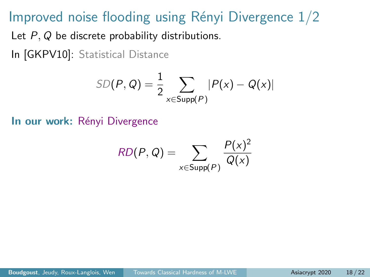# Improved noise flooding using Rényi Divergence  $1/2$

Let P, Q be discrete probability distributions.

In [\[GKPV10\]](#page-51-1): Statistical Distance

$$
SD(P, Q) = \frac{1}{2} \sum_{x \in Supp(P)} |P(x) - Q(x)|
$$

In our work: Rényi Divergence

$$
RD(P,Q) = \sum_{x \in \text{Supp}(P)} \frac{P(x)^2}{Q(x)}
$$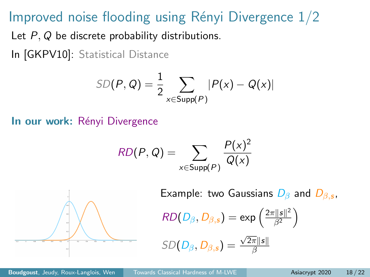# Improved noise flooding using Rényi Divergence  $1/2$

Let P, Q be discrete probability distributions.

In [\[GKPV10\]](#page-51-1): Statistical Distance

$$
SD(P, Q) = \frac{1}{2} \sum_{x \in \text{Supp}(P)} |P(x) - Q(x)|
$$

In our work: Rényi Divergence

$$
RD(P,Q) = \sum_{x \in \text{Supp}(P)} \frac{P(x)^2}{Q(x)}
$$



Example: two Gaussians  $D_{\beta}$  and  $D_{\beta,s}$ ,

$$
RD(D_{\beta}, D_{\beta,s}) = \exp\left(\frac{2\pi ||s||^2}{\beta^2}\right)
$$

$$
SD(D_{\beta}, D_{\beta,s}) = \frac{\sqrt{2\pi} \|s\|}{\beta}
$$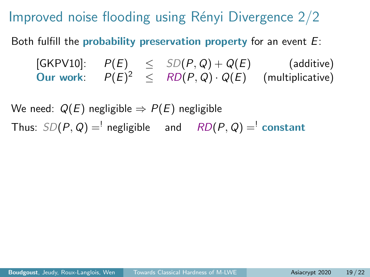Improved noise flooding using Rényi Divergence  $2/2$ 

Both fulfill the probability preservation property for an event  $E$ :

[\[GKPV10\]](#page-51-1):  $P(E) \leq SD(P,Q) + Q(E)$  (additive) Our work:  $P(E)^2 \leq R D(P,Q) \cdot Q(E)$  (multiplicative)

We need:  $Q(E)$  negligible  $\Rightarrow P(E)$  negligible Thus:  $SD(P, Q) =$ <sup>'</sup> negligible and  $RD(P, Q) =$ <sup>'</sup> constant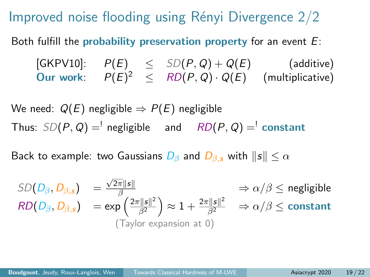Improved noise flooding using Rényi Divergence  $2/2$ 

Both fulfill the probability preservation property for an event  $E$ :

[\[GKPV10\]](#page-51-1):  $P(E) \leq SD(P,Q) + Q(E)$  (additive) Our work:  $P(E)^2 \leq R D(P,Q) \cdot Q(E)$  (multiplicative)

We need:  $Q(E)$  negligible  $\Rightarrow P(E)$  negligible Thus:  $SD(P, Q) =$ <sup>'</sup> negligible and  $RD(P, Q) =$ <sup>'</sup> constant

Back to example: two Gaussians  $D_\beta$  and  $D_\beta$ , with  $\|s\| \leq \alpha$ 

$$
SD(D_{\beta}, D_{\beta,s}) = \frac{\sqrt{2\pi} \|s\|}{\beta} \implies \alpha/\beta \le \text{negligible}
$$
  
\n
$$
RD(D_{\beta}, D_{\beta,s}) = \exp\left(\frac{2\pi \|s\|^2}{\beta^2}\right) \approx 1 + \frac{2\pi \|s\|^2}{\beta^2} \implies \alpha/\beta \le \text{constant}
$$
  
\n(Taylor expansion at 0)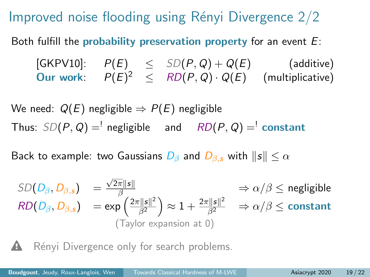Improved noise flooding using Rényi Divergence  $2/2$ 

Both fulfill the probability preservation property for an event  $E$ :

 $[\mathsf{GKPV10}]: \quad P(E) \quad\leq\quad SD(P,Q) + Q(E) \qquad\qquad\text{(additive)}$ Our work:  $P(E)^2 \leq R D(P,Q) \cdot Q(E)$  (multiplicative)

We need:  $Q(E)$  negligible  $\Rightarrow P(E)$  negligible Thus:  $SD(P, Q) =$ <sup>'</sup> negligible and  $RD(P, Q) =$ <sup>'</sup> constant

Back to example: two Gaussians  $D_\beta$  and  $D_\beta$ , with  $\|s\| \leq \alpha$ 

$$
SD(D_{\beta}, D_{\beta,s}) = \frac{\sqrt{2\pi} \|s\|}{\beta} \implies \alpha/\beta \le \text{negligible}
$$
  
\n
$$
RD(D_{\beta}, D_{\beta,s}) = \exp\left(\frac{2\pi \|s\|^2}{\beta^2}\right) \approx 1 + \frac{2\pi \|s\|^2}{\beta^2} \implies \alpha/\beta \le \text{constant}
$$
  
\n(Taylor expansion at 0)

Rényi Divergence only for search problems.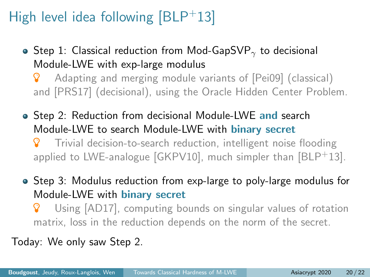- Step 1: Classical reduction from Mod-GapSVP<sub> $\gamma$ </sub> to decisional Module-LWE with exp-large modulus
	- **8** Adapting and merging module variants of [\[Pei09\]](#page-52-2) (classical) and [\[PRS17\]](#page-52-4) (decisional), using the Oracle Hidden Center Problem.
- Step 2: Reduction from decisional Module-LWE and search Module-LWE to search Module-LWE with binary secret Trivial decision-to-search reduction, intelligent noise flooding applied to LWE-analogue  $[GKPV10]$ , much simpler than  $[BLP<sup>+</sup>13]$  $[BLP<sup>+</sup>13]$ .
- Step 3: Modulus reduction from exp-large to poly-large modulus for Module-LWE with binary secret
	- Using [\[AD17\]](#page-51-2), computing bounds on singular values of rotation matrix, loss in the reduction depends on the norm of the secret.

Today: We only saw Step 2.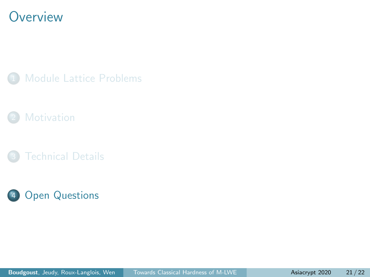### <span id="page-48-0"></span>**Overview**

[Module Lattice Problems](#page-9-0)



**[Technical Details](#page-31-0)** 

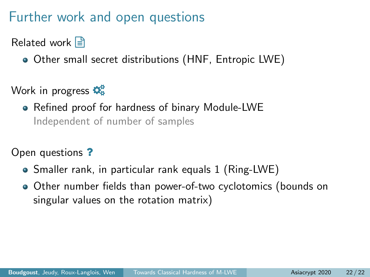# Further work and open questions

Related work  $\Box$ 

Other small secret distributions (HNF, Entropic LWE)

Work in progress  $\mathbf{\ddot{Q}_8}^2$ 

Refined proof for hardness of binary Module-LWE Independent of number of samples

Open questions ?

- Smaller rank, in particular rank equals 1 (Ring-LWE)
- Other number fields than power-of-two cyclotomics (bounds on singular values on the rotation matrix)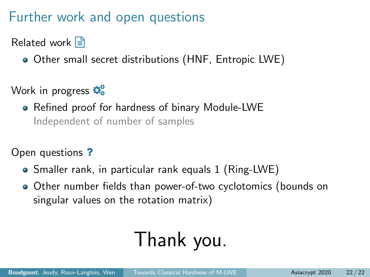# Further work and open questions

Related work  $\Box$ 

Other small secret distributions (HNF, Entropic LWE)

Work in progress  $\mathbf{\ddot{Q}_8}^2$ 

Refined proof for hardness of binary Module-LWE Independent of number of samples

Open questions ?

- Smaller rank, in particular rank equals 1 (Ring-LWE)
- Other number fields than power-of-two cyclotomics (bounds on singular values on the rotation matrix)

# Thank you.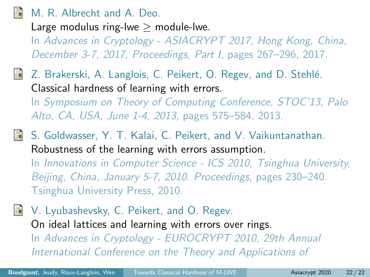#### <span id="page-51-2"></span>M. R. Albrecht and A. Deo.

Large modulus ring-lwe  $>$  module-lwe.

In Advances in Cryptology - ASIACRYPT 2017, Hong Kong, China, December 3-7, 2017, Proceedings, Part I, pages 267–296, 2017.

- <span id="page-51-0"></span>Z. Brakerski, A. Langlois, C. Peikert, O. Regev, and D. Stehlé. Classical hardness of learning with errors. In Symposium on Theory of Computing Conference, STOC'13, Palo Alto, CA, USA, June 1-4, 2013, pages 575–584, 2013.
- <span id="page-51-1"></span>S. Goldwasser, Y. T. Kalai, C. Peikert, and V. Vaikuntanathan. Robustness of the learning with errors assumption. In Innovations in Computer Science - ICS 2010, Tsinghua University, Beijing, China, January 5-7, 2010. Proceedings, pages 230–240.

Tsinghua University Press, 2010.

<span id="page-51-3"></span>V. Lyubashevsky, C. Peikert, and O. Regev. On ideal lattices and learning with errors over rings. In Advances in Cryptology - EUROCRYPT 2010, 29th Annual International Conference on the Theory and Applications of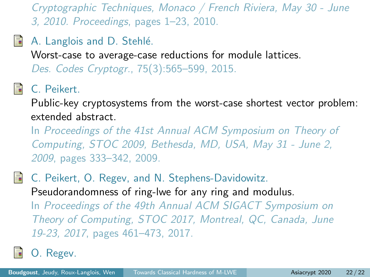<span id="page-52-0"></span>Cryptographic Techniques, Monaco / French Riviera, May 30 - June 3, 2010. Proceedings, pages 1–23, 2010.

<span id="page-52-3"></span>F. A. Langlois and D. Stehlé.

Worst-case to average-case reductions for module lattices.

Des. Codes Cryptogr., 75(3):565–599, 2015.

<span id="page-52-2"></span>C. Peikert.

Public-key cryptosystems from the worst-case shortest vector problem: extended abstract.

In Proceedings of the 41st Annual ACM Symposium on Theory of Computing, STOC 2009, Bethesda, MD, USA, May 31 - June 2, 2009, pages 333–342, 2009.

<span id="page-52-4"></span>C. Peikert, O. Regev, and N. Stephens-Davidowitz. Pseudorandomness of ring-lwe for any ring and modulus. In Proceedings of the 49th Annual ACM SIGACT Symposium on Theory of Computing, STOC 2017, Montreal, QC, Canada, June 19-23, 2017, pages 461–473, 2017.

<span id="page-52-1"></span>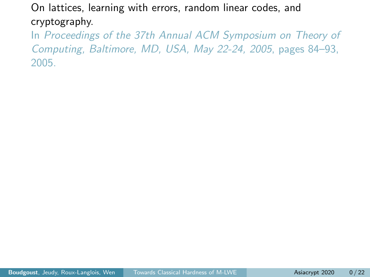On lattices, learning with errors, random linear codes, and cryptography.

In Proceedings of the 37th Annual ACM Symposium on Theory of Computing, Baltimore, MD, USA, May 22-24, 2005, pages 84–93, 2005.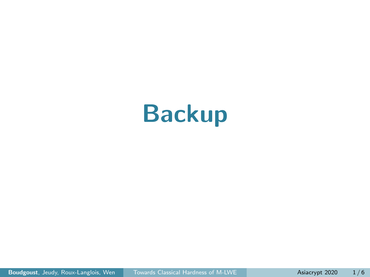# Backup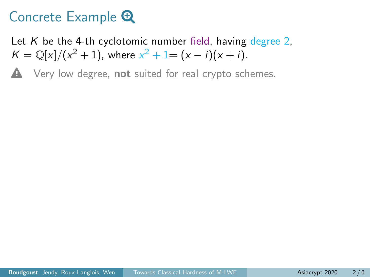Let K be the 4-th cyclotomic number field, having degree 2.  $K = \mathbb{Q}[x]/(x^2 + 1)$ , where  $x^2 + 1 = (x - i)(x + i)$ .

 $\triangle$  Very low degree, not suited for real crypto schemes.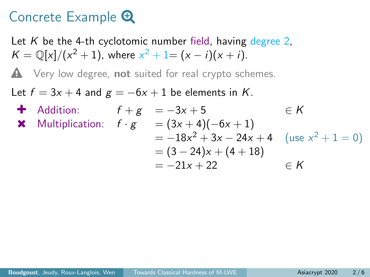Let K be the 4-th cyclotomic number field, having degree 2.  $K = \mathbb{Q}[x]/(x^2 + 1)$ , where  $x^2 + 1 = (x - i)(x + i)$ .

 $\triangle$  Very low degree, not suited for real crypto schemes.

Let  $f = 3x + 4$  and  $g = -6x + 1$  be elements in K.

4 Addition:

\n
$$
f + g = -3x + 5 \qquad \in K
$$
\n★ Multiplication:

\n
$$
f \cdot g = (3x + 4)(-6x + 1)
$$
\n
$$
= -18x^{2} + 3x - 24x + 4 \quad (\text{use } x^{2} + 1 = 0)
$$
\n
$$
= (3 - 24)x + (4 + 18)
$$
\n
$$
= -21x + 22 \qquad \in K
$$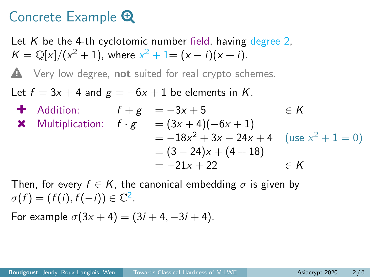Let K be the 4-th cyclotomic number field, having degree 2.  $K = \mathbb{Q}[x]/(x^2 + 1)$ , where  $x^2 + 1 = (x - i)(x + i)$ .

 $\triangle$  Very low degree, not suited for real crypto schemes.

Let  $f = 3x + 4$  and  $g = -6x + 1$  be elements in K.

4 Addition:

\n
$$
f + g = -3x + 5 \qquad \in K
$$
\n4 Multiplication:

\n
$$
f \cdot g = (3x + 4)(-6x + 1)
$$
\n
$$
= -18x^{2} + 3x - 24x + 4 \quad (\text{use } x^{2} + 1 = 0)
$$
\n
$$
= (3 - 24)x + (4 + 18)
$$
\n
$$
= -21x + 22 \qquad \in K
$$

Then, for every  $f \in K$ , the canonical embedding  $\sigma$  is given by  $\sigma(f) = (f(i), f(-i)) \in \mathbb{C}^2$ .

For example  $\sigma(3x + 4) = (3i + 4, -3i + 4)$ .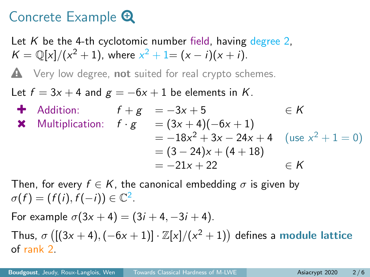Let K be the 4-th cyclotomic number field, having degree 2.  $K = \mathbb{Q}[x]/(x^2 + 1)$ , where  $x^2 + 1 = (x - i)(x + i)$ .

 $\triangle$  Very low degree, not suited for real crypto schemes.

Let  $f = 3x + 4$  and  $g = -6x + 1$  be elements in K.

4 Addition:

\n
$$
f + g = -3x + 5 \qquad \in K
$$
\n★ Multiplication:

\n
$$
f \cdot g = (3x + 4)(-6x + 1)
$$
\n
$$
= -18x^{2} + 3x - 24x + 4 \quad (\text{use } x^{2} + 1 = 0)
$$
\n
$$
= (3 - 24)x + (4 + 18)
$$
\n
$$
= -21x + 22 \qquad \in K
$$

Then, for every  $f \in K$ , the canonical embedding  $\sigma$  is given by  $\sigma(f) = (f(i), f(-i)) \in \mathbb{C}^2$ .

For example  $\sigma(3x + 4) = (3i + 4, -3i + 4)$ . Thus,  $\sigma$  ([(3x + 4), (-6x + 1)]  $\cdot \mathbb{Z}[x]/(x^2+1)$ ) defines a module lattice of rank 2.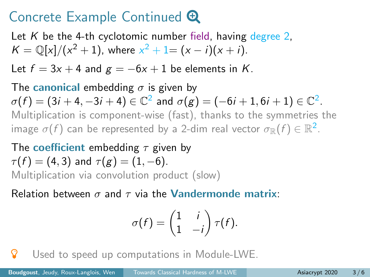# Concrete Example Continued  $\bigoplus$

Let K be the 4-th cyclotomic number field, having degree 2,  $K = \mathbb{Q}[x]/(x^2 + 1)$ , where  $x^2 + 1 = (x - i)(x + i)$ .

Let  $f = 3x + 4$  and  $g = -6x + 1$  be elements in K.

The canonical embedding  $\sigma$  is given by  $\sigma(f)=(3i+4,-3i+4)\in\mathbb{C}^2$  and  $\sigma(g)=(-6i+1,6i+1)\in\mathbb{C}^2.$ Multiplication is component-wise (fast), thanks to the symmetries the image  $\sigma(f)$  can be represented by a 2-dim real vector  $\sigma_\mathbb{R}(f) \in \mathbb{R}^2.$ 

The coefficient embedding  $\tau$  given by  $\tau(f) = (4, 3)$  and  $\tau(g) = (1, -6)$ . Multiplication via convolution product (slow)

Relation between  $\sigma$  and  $\tau$  via the **Vandermonde matrix**:

$$
\sigma(f) = \begin{pmatrix} 1 & i \\ 1 & -i \end{pmatrix} \tau(f).
$$

**P** Used to speed up computations in Module-LWE.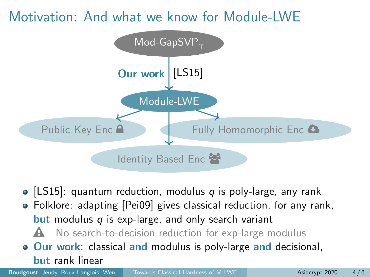

- [\[LS15\]](#page-52-3): quantum reduction, modulus  $q$  is poly-large, any rank
- Folklore: adapting [\[Pei09\]](#page-52-2) gives classical reduction, for any rank, **but** modulus  $q$  is exp-large, and only search variant
	- $\triangle$  No search-to-decision reduction for exp-large modulus
- **Our work:** classical and modulus is poly-large and decisional, but rank linear

**Boudgoust**, Jeudy, Roux-Langlois, Wen [Towards Classical Hardness of M-LWE](#page-0-0) **Asiacrypt 2020** 4/6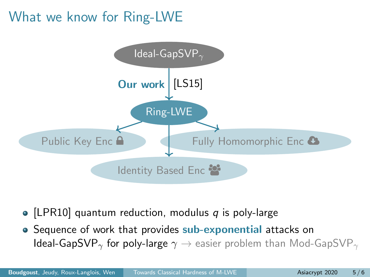# What we know for Ring-LWE



- [\[LPR10\]](#page-51-3) quantum reduction, modulus  $q$  is poly-large
- Sequence of work that provides sub-exponential attacks on Ideal-GapSVP<sub>γ</sub> for poly-large  $\gamma \rightarrow$  easier problem than Mod-GapSVP<sub>γ</sub>